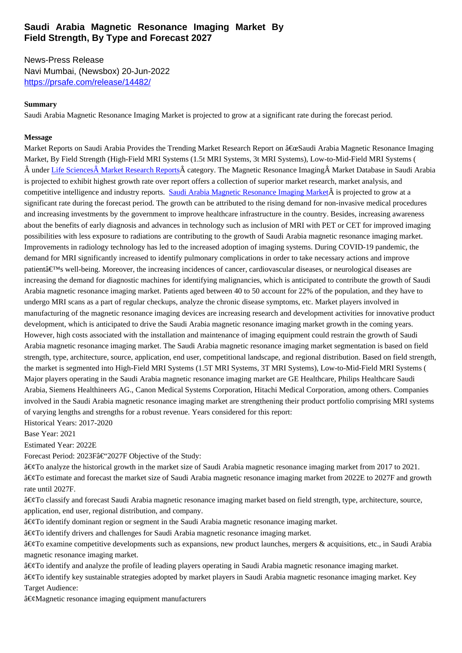#### **Field Strength, By Type and Forecast 2027**

News-Press Release Navi Mumbai, (Newsbox) 20-Jun-2022 https://prsafe.com/release/14482/

## **Summary**

[Saudi Arabia Magnetic Resonance Imagi](https://prsafe.com/release/14482/)ng Market is projected to grow at a significant rate during the forecast period.

### **Message**

Market Reports on Saudi Arabia Provides the Trending Market Research Report on "Saudi Arabia Magnetic Resonance Imaging Market, By Field Strength (High-Field MRI Systems (1.5t MRI Systems, 3t MRI Systems), Low-to-Mid-Field MRI Systems (  $\hat{A}$  under Life Sciences $\hat{A}$  Market Research Reports $\hat{A}$  category. The Magnetic Resonance Imaging  $\hat{A}$  Market Database in Saudi Arabia is projected to exhibit highest growth rate over report offers a collection of superior market research, market analysis, and competitive intelligence and industry reports. Saudi Arabia Magnetic Resonance Imaging Market is projected to grow at a significant rate during the forecast period. The growth can be attributed to the rising demand for non-invasive medical procedures and incr[easing investments by the government to i](https://marketreportsonsaudiarabia.com/category/life-sciences)mprove healthcare infrastructure in the country. Besides, increasing awareness about the benefits of early diagnosis and advances in technology such as inclusion of MRI with PET or CET for improved imaging possibilities with less exposure to radiations ar[e contributing to the growth of Saudi Arabia magne](https://bit.ly/3QtlqEl)tic resonance imaging market. Improvements in radiology technology has led to the increased adoption of imaging systems. During COVID-19 pandemic, the demand for MRI significantly increased to identify pulmonary complications in order to take necessary actions and improve patient's well-being.Moreover, the increasing incidences of cancer, cardiovascular diseases, or neurological diseases are increasing the demand for diagnostic machines for identifying malignancies, which is anticipated to contribute the growth of Saudi Arabia magnetic resonance imaging market. Patients aged between 40 to 50 account for 22% of the population, and they have to undergo MRI scans as a part of regular checkups, analyze the chronic disease symptoms, etc. Market players involved in manufacturing of the magnetic resonance imaging devices are increasing research and development activities for innovative product development, which is anticipated to drive the Saudi Arabia magnetic resonance imaging market growth in the coming years. However, high costs associated with the installation and maintenance of imaging equipment could restrain the growth of Saudi Arabia magnetic resonance imaging market. The Saudi Arabia magnetic resonance imaging market segmentation is based on field strength, type, architecture, source, application, end user, competitional landscape, and regional distribution. Based on field strength, the market is segmented into High-Field MRI Systems (1.5T MRI Systems, 3T MRI Systems), Low-to-Mid-Field MRI Systems ( Major players operating in the Saudi Arabia magnetic resonance imaging market are GE Healthcare, Philips Healthcare Saudi Arabia, Siemens Healthineers AG., Canon Medical Systems Corporation, Hitachi Medical Corporation, among others. Companies involved in the Saudi Arabia magnetic resonance imaging market are strengthening their product portfolio comprising MRI systems of varying lengths and strengths for a robust revenue. Years considered for this report:

Historical Years: 2017-2020

Base Year: 2021

Estimated Year: 2022E

Forecast Period: 2023Fâ€"2027FObjective of the Study:

 $\hat{\mathbf{z}} \in \hat{\mathcal{C}}$  analyze the historical growth in the market size of Saudi Arabia magnetic resonance imaging market from 2017 to 2021. •To estimate and forecast the market size of Saudi Arabia magnetic resonance imaging market from 2022E to 2027F and growth rate until 2027F.

•To classify and forecast Saudi Arabia magnetic resonance imaging market based on field strength, type, architecture, source, application, end user, regional distribution, and company.

 $\hat{a} \in \mathcal{C}$ To identify dominant region or segment in the Saudi Arabia magnetic resonance imaging market.

•To identify drivers and challenges for Saudi Arabia magnetic resonance imaging market.

 $\hat{\mathbf{a}} \in \hat{\mathcal{C}}$  examine competitive developments such as expansions, new product launches, mergers & acquisitions, etc., in Saudi Arabia magnetic resonance imaging market.

 $\hat{\mathbf{a}} \in \hat{\mathcal{C}}$  and analyze the profile of leading players operating in Saudi Arabia magnetic resonance imaging market.

•To identify key sustainable strategies adopted by market players in Saudi Arabia magnetic resonance imaging market.Key Target Audience:

 $\hat{a} \in \mathcal{C}$ Magnetic resonance imaging equipment manufacturers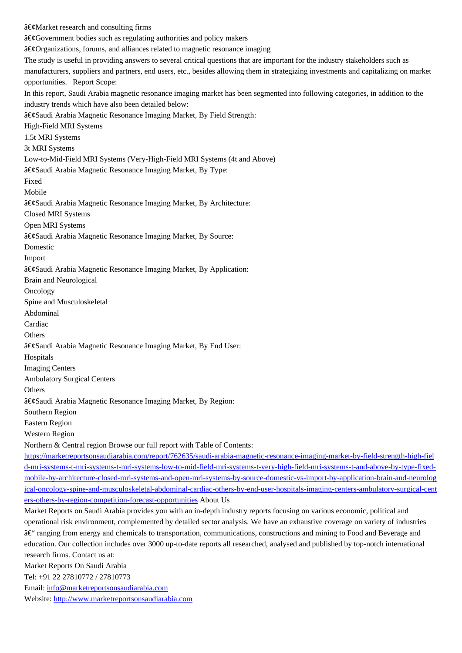a ex Sovernment bodies such as regulating authorities and policy makers  $\hat{a} \in \emptyset$  Organizations, forums, and alliances related to magnetic resonance imaging The study is useful in providing answers to several critical questions that are important for the industry stakeholders such as manufacturers, suppliers and partners, end users, etc., besides allowing them in strategizing investments and capitalizing on market opportunities. Report Scope: In this report, Saudi Arabia magnetic resonance imaging market has been segmented into following categories, in addition to the industry trends which have also been detailed below: •Saudi Arabia Magnetic Resonance Imaging Market, By Field Strength: High-Field MRI Systems 1.5t MRI Systems 3t MRI Systems Low-to-Mid-Field MRI Systems (Very-High-Field MRI Systems (4t and Above) â€⊗audi Arabia Magnetic Resonance Imaging Market, By Type: Fixed Mobile ‧audi Arabia Magnetic Resonance Imaging Market, By Architecture: Closed MRI Systems Open MRI Systems â€⊗audi Arabia Magnetic Resonance Imaging Market, By Source: Domestic Import •Saudi Arabia Magnetic Resonance Imaging Market, By Application: Brain and Neurological **Oncology** Spine and Musculoskeletal Abdominal Cardiac **Others** ‧audi Arabia Magnetic Resonance Imaging Market, By End User: Hospitals Imaging Centers Ambulatory Surgical Centers **Others** â€⊗audi Arabia Magnetic Resonance Imaging Market, By Region: Southern Region Eastern Region Western Region Northern & Central region Browse our full report with Table of Contents: https://marketreportsonsaudiarabia.com/report/762635/saudi-arabia-magnetic-resonance-imaging-market-by-field-strength-high-fiel d-mri-systems-t-mri-systems-t-mri-systems-low-to-mid-field-mri-systems-t-very-high-field-mri-systems-t-and-above-by-type-fixedmobile-by-architecture-closed-mri-systems-and-open-mri-systems-by-source-domestic-vs-import-by-application-brain-and-neurolog [ical-oncology-spine-and-musculoskeletal-abdominal-cardiac-others-by-end-user-hospitals-imaging-centers-ambulatory-surgical-cen](https://marketreportsonsaudiarabia.com/report/762635/saudi-arabia-magnetic-resonance-imaging-market-by-field-strength-high-field-mri-systems-t-mri-systems-t-mri-systems-low-to-mid-field-mri-systems-t-very-high-field-mri-systems-t-and-above-by-type-fixed-mobile-by-architecture-closed-mri-systems-and-open-mri-systems-by-source-domestic-vs-import-by-application-brain-and-neurological-oncology-spine-and-musculoskeletal-abdominal-cardiac-others-by-end-user-hospitals-imaging-centers-ambulatory-surgical-centers-others-by-region-competition-forecast-opportunities)t ers-others-by-region-competition-forecast-opportunities About Us [Market Reports on Saudi Arabia provides you with an in-depth industry reports focusing on various economic, political and](https://marketreportsonsaudiarabia.com/report/762635/saudi-arabia-magnetic-resonance-imaging-market-by-field-strength-high-field-mri-systems-t-mri-systems-t-mri-systems-low-to-mid-field-mri-systems-t-very-high-field-mri-systems-t-and-above-by-type-fixed-mobile-by-architecture-closed-mri-systems-and-open-mri-systems-by-source-domestic-vs-import-by-application-brain-and-neurological-oncology-spine-and-musculoskeletal-abdominal-cardiac-others-by-end-user-hospitals-imaging-centers-ambulatory-surgical-centers-others-by-region-competition-forecast-opportunities) [operational risk environment, complemented by detailed sector analysis. We have an exhaustive coverage on variety of industries](https://marketreportsonsaudiarabia.com/report/762635/saudi-arabia-magnetic-resonance-imaging-market-by-field-strength-high-field-mri-systems-t-mri-systems-t-mri-systems-low-to-mid-field-mri-systems-t-very-high-field-mri-systems-t-and-above-by-type-fixed-mobile-by-architecture-closed-mri-systems-and-open-mri-systems-by-source-domestic-vs-import-by-application-brain-and-neurological-oncology-spine-and-musculoskeletal-abdominal-cardiac-others-by-end-user-hospitals-imaging-centers-ambulatory-surgical-centers-others-by-region-competition-forecast-opportunities) â€" ranging from energy and chemicals to transportation, communications, constructions and mining to Food and Beverage and [education. Our collection includes over 3000 up-to-date](https://marketreportsonsaudiarabia.com/report/762635/saudi-arabia-magnetic-resonance-imaging-market-by-field-strength-high-field-mri-systems-t-mri-systems-t-mri-systems-low-to-mid-field-mri-systems-t-very-high-field-mri-systems-t-and-above-by-type-fixed-mobile-by-architecture-closed-mri-systems-and-open-mri-systems-by-source-domestic-vs-import-by-application-brain-and-neurological-oncology-spine-and-musculoskeletal-abdominal-cardiac-others-by-end-user-hospitals-imaging-centers-ambulatory-surgical-centers-others-by-region-competition-forecast-opportunities) reports all researched, analysed and published by top-notch international research firms. Contact us at: Market Reports On Saudi Arabia Tel: +91 22 27810772 / 27810773 Email: info@marketreportsonsaudiarabia.com Website: http://www.marketreportsonsaudiarabia.com